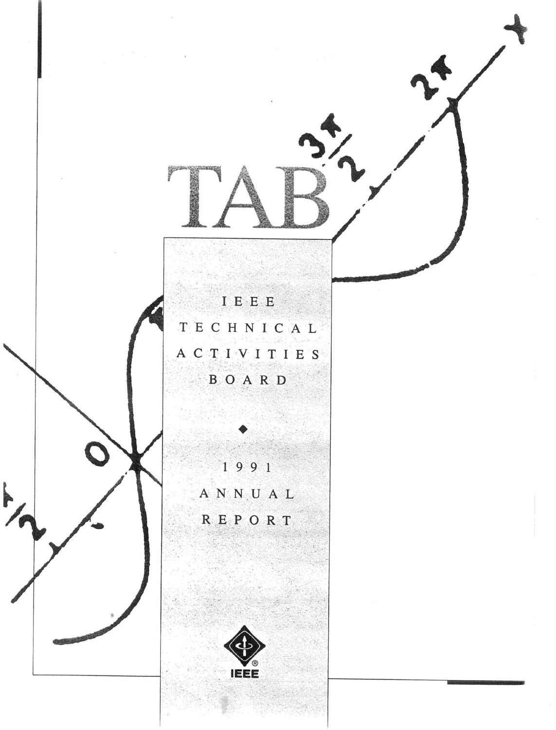